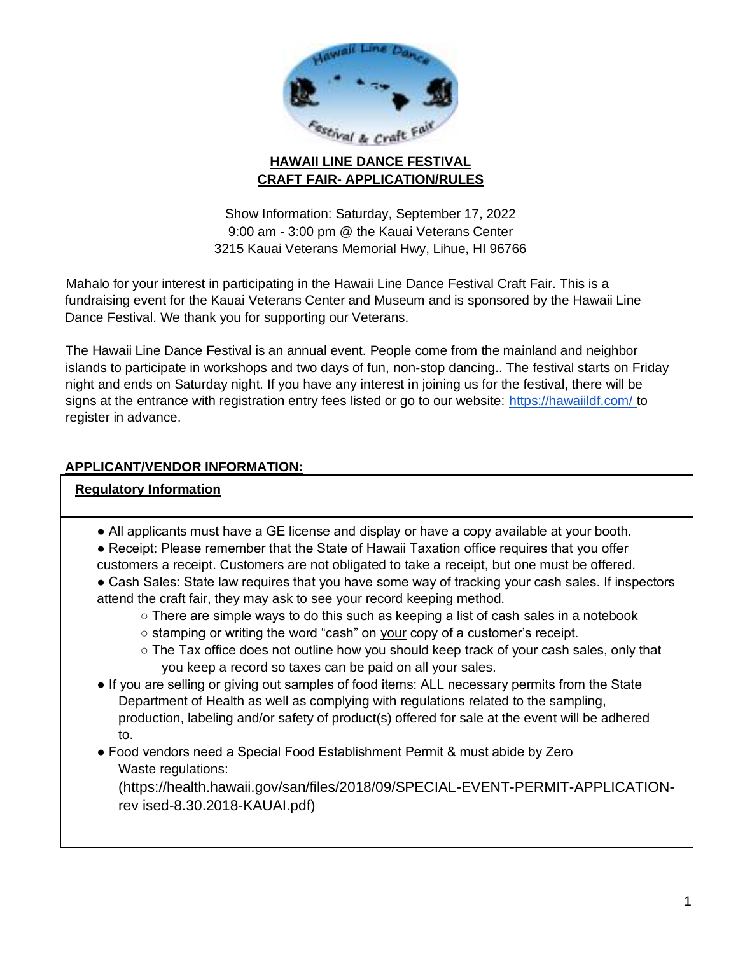

# **HAWAII LINE DANCE FESTIVAL CRAFT FAIR- APPLICATION/RULES**

Show Information: Saturday, September 17, 2022 9:00 am - 3:00 pm @ the Kauai Veterans Center 3215 Kauai Veterans Memorial Hwy, Lihue, HI 96766

Mahalo for your interest in participating in the Hawaii Line Dance Festival Craft Fair. This is a fundraising event for the Kauai Veterans Center and Museum and is sponsored by the Hawaii Line Dance Festival. We thank you for supporting our Veterans.

The Hawaii Line Dance Festival is an annual event. People come from the mainland and neighbor islands to participate in workshops and two days of fun, non-stop dancing.. The festival starts on Friday night and ends on Saturday night. If you have any interest in joining us for the festival, there will be signs at the entrance with registration entry fees listed or go to our website: https://hawaiildf.com/ to register in advance.

# **APPLICANT/VENDOR INFORMATION:**

### **Regulatory Information**

- All applicants must have a GE license and display or have a copy available at your booth.
- Receipt: Please remember that the State of Hawaii Taxation office requires that you offer customers a receipt. Customers are not obligated to take a receipt, but one must be offered.
- Cash Sales: State law requires that you have some way of tracking your cash sales. If inspectors attend the craft fair, they may ask to see your record keeping method.
	- There are simple ways to do this such as keeping a list of cash sales in a notebook
	- o stamping or writing the word "cash" on your copy of a customer's receipt.
	- $\circ$  The Tax office does not outline how you should keep track of your cash sales, only that you keep a record so taxes can be paid on all your sales.
- If you are selling or giving out samples of food items: ALL necessary permits from the State Department of Health as well as complying with regulations related to the sampling, production, labeling and/or safety of product(s) offered for sale at the event will be adhered to.

# ● Food vendors need a Special Food Establishment Permit & must abide by Zero Waste regulations:

(https://health.hawaii.gov/san/files/2018/09/SPECIAL-EVENT-PERMIT-APPLICATIONrev ised-8.30.2018-KAUAI.pdf)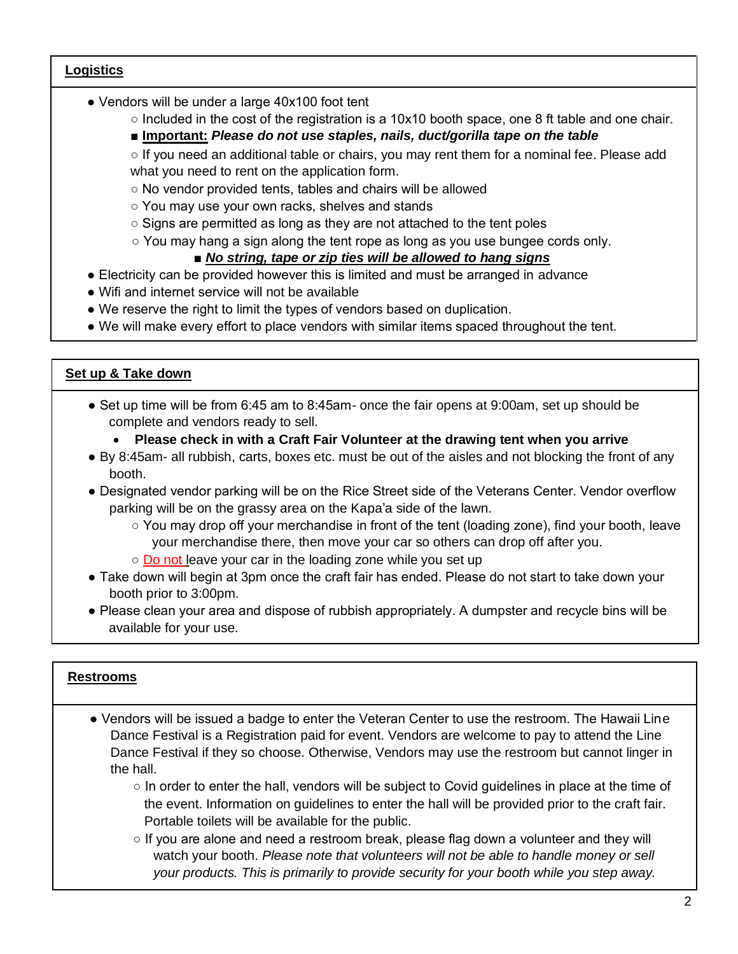### **Logistics**

- Vendors will be under a large 40x100 foot tent
	- Included in the cost of the registration is a 10x10 booth space, one 8 ft table and one chair.

#### ■ **Important: Please do not use staples, nails, duct/gorilla tape on the table**

o If you need an additional table or chairs, you may rent them for a nominal fee. Please add what you need to rent on the application form.

○ No vendor provided tents, tables and chairs will be allowed

○ You may use your own racks, shelves and stands

- Signs are permitted as long as they are not attached to the tent poles
- You may hang a sign along the tent rope as long as you use bungee cords only.

### ■ *No string, tape or zip ties will be allowed to hang signs*

- Electricity can be provided however this is limited and must be arranged in advance
- Wifi and internet service will not be available
- We reserve the right to limit the types of vendors based on duplication.
- We will make every effort to place vendors with similar items spaced throughout the tent.

### **Set up & Take down**

- Set up time will be from 6:45 am to 8:45am- once the fair opens at 9:00am, set up should be complete and vendors ready to sell.
	- **Please check in with a Craft Fair Volunteer at the drawing tent when you arrive**
- By 8:45am- all rubbish, carts, boxes etc. must be out of the aisles and not blocking the front of any booth.
- Designated vendor parking will be on the Rice Street side of the Veterans Center. Vendor overflow parking will be on the grassy area on the Kapa'a side of the lawn.
	- You may drop off your merchandise in front of the tent (loading zone), find your booth, leave your merchandise there, then move your car so others can drop off after you.
	- Do not leave your car in the loading zone while you set up
- Take down will begin at 3pm once the craft fair has ended. Please do not start to take down your booth prior to 3:00pm.
- Please clean your area and dispose of rubbish appropriately. A dumpster and recycle bins will be available for your use.

#### **Restrooms**

- Vendors will be issued a badge to enter the Veteran Center to use the restroom. The Hawaii Line Dance Festival is a Registration paid for event. Vendors are welcome to pay to attend the Line Dance Festival if they so choose. Otherwise, Vendors may use the restroom but cannot linger in the hall.
	- $\circ$  In order to enter the hall, vendors will be subject to Covid guidelines in place at the time of the event. Information on guidelines to enter the hall will be provided prior to the craft fair. Portable toilets will be available for the public.
	- $\circ$  If you are alone and need a restroom break, please flag down a volunteer and they will watch your booth. *Please note that volunteers will not be able to handle money or sell your products. This is primarily to provide security for your booth while you step away.*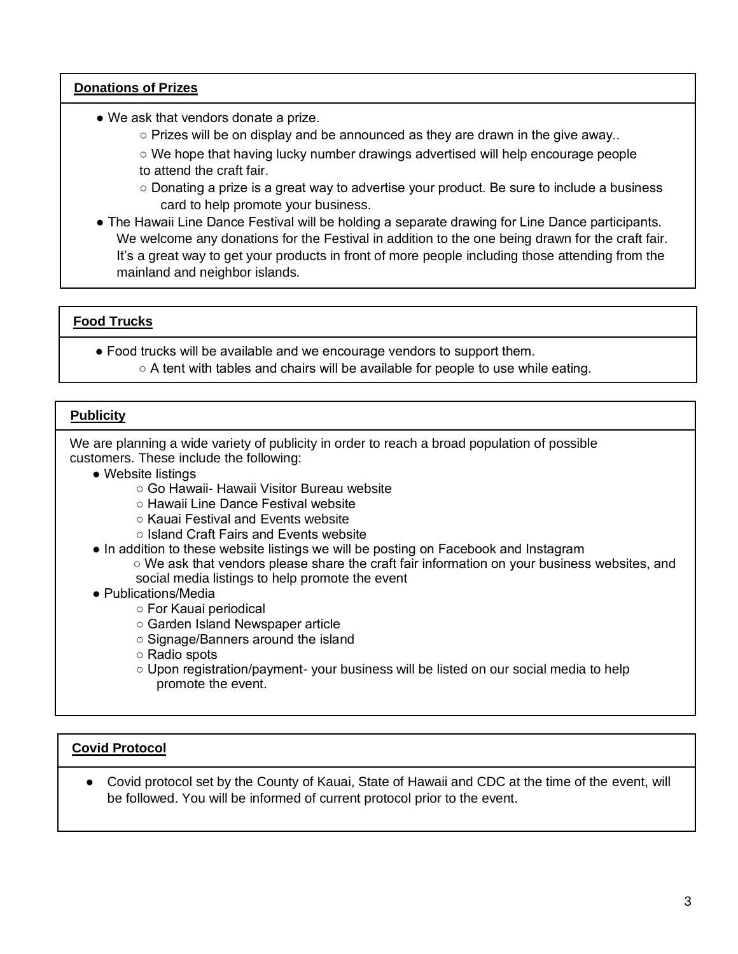#### **Donations of Prizes**

- We ask that vendors donate a prize.
	- Prizes will be on display and be announced as they are drawn in the give away..

○ We hope that having lucky number drawings advertised will help encourage people to attend the craft fair.

- Donating a prize is a great way to advertise your product. Be sure to include a business card to help promote your business.
- The Hawaii Line Dance Festival will be holding a separate drawing for Line Dance participants. We welcome any donations for the Festival in addition to the one being drawn for the craft fair. It's a great way to get your products in front of more people including those attending from the mainland and neighbor islands.

# **Food Trucks**

● Food trucks will be available and we encourage vendors to support them.  $\circ$  A tent with tables and chairs will be available for people to use while eating.

# **Publicity**

We are planning a wide variety of publicity in order to reach a broad population of possible customers. These include the following:

- Website listings
	- Go Hawaii- Hawaii Visitor Bureau website
	- Hawaii Line Dance Festival website
	- Kauai Festival and Events website
	- Island Craft Fairs and Events website
- In addition to these website listings we will be posting on Facebook and Instagram
	- We ask that vendors please share the craft fair information on your business websites, and social media listings to help promote the event
- Publications/Media
	- For Kauai periodical
	- Garden Island Newspaper article
	- Signage/Banners around the island
	- Radio spots
	- Upon registration/payment- your business will be listed on our social media to help promote the event.

### **Covid Protocol**

● Covid protocol set by the County of Kauai, State of Hawaii and CDC at the time of the event, will be followed. You will be informed of current protocol prior to the event.